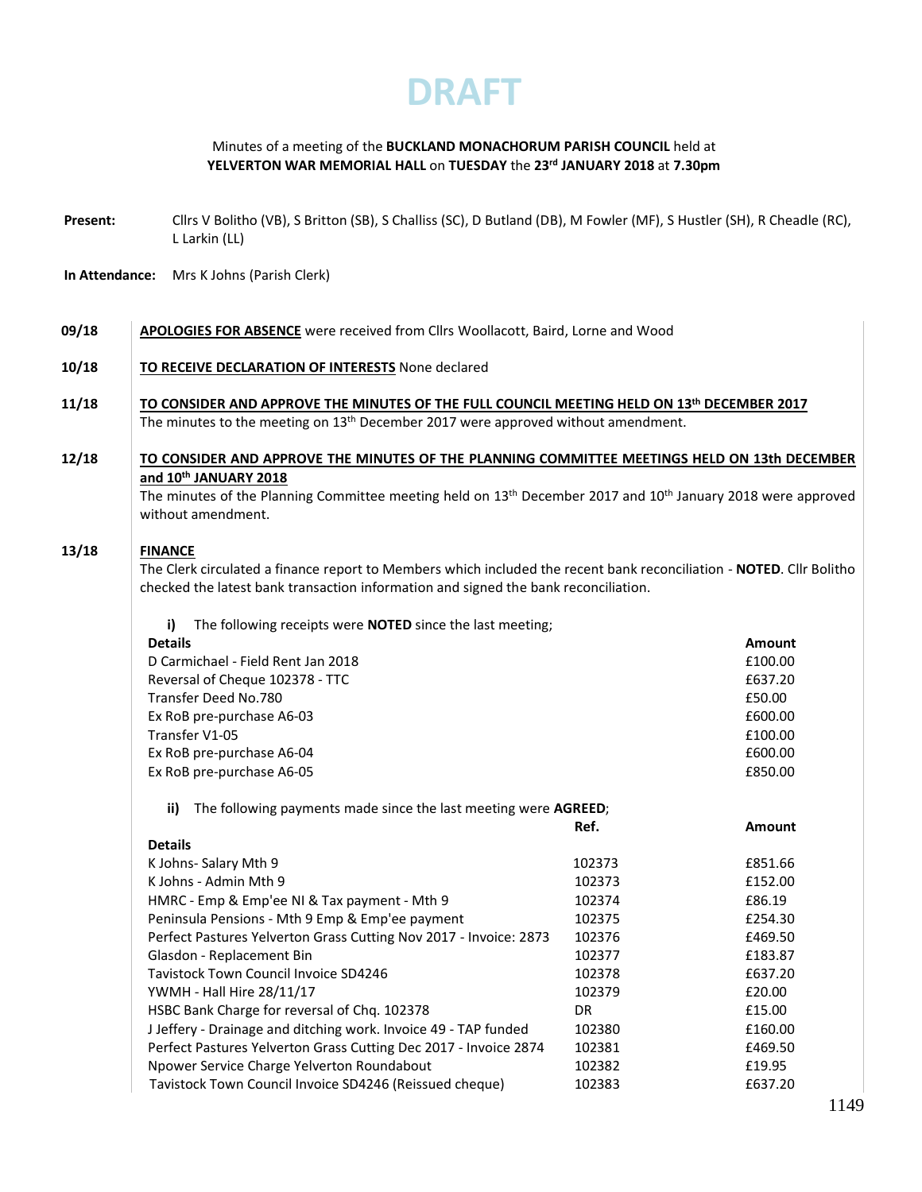# Minutes of a meeting of the **BUCKLAND MONACHORUM PARISH COUNCIL** held at **YELVERTON WAR MEMORIAL HALL** on **TUESDAY** the **23rd JANUARY 2018** at **7.30pm**

**Present:** Cllrs V Bolitho (VB), S Britton (SB), S Challiss (SC), D Butland (DB), M Fowler (MF), S Hustler (SH), R Cheadle (RC), L Larkin (LL)

**In Attendance:** Mrs K Johns (Parish Clerk)

## **09/18 APOLOGIES FOR ABSENCE** were received from Cllrs Woollacott, Baird, Lorne and Wood

### **10/18 TO RECEIVE DECLARATION OF INTERESTS** None declared

# **11/18 TO CONSIDER AND APPROVE THE MINUTES OF THE FULL COUNCIL MEETING HELD ON 13th DECEMBER 2017** The minutes to the meeting on 13<sup>th</sup> December 2017 were approved without amendment.

# **12/18 TO CONSIDER AND APPROVE THE MINUTES OF THE PLANNING COMMITTEE MEETINGS HELD ON 13th DECEMBER and 10 th JANUARY 2018**

The minutes of the Planning Committee meeting held on 13th December 2017 and 10th January 2018 were approved without amendment.

### **13/18 FINANCE**

The Clerk circulated a finance report to Members which included the recent bank reconciliation - **NOTED**. Cllr Bolitho checked the latest bank transaction information and signed the bank reconciliation.

| The following receipts were <b>NOTED</b> since the last meeting;<br>i) l |  |  |
|--------------------------------------------------------------------------|--|--|
|                                                                          |  |  |

| <b>Details</b>                     | <b>Amount</b> |
|------------------------------------|---------------|
| D Carmichael - Field Rent Jan 2018 | £100.00       |
| Reversal of Cheque 102378 - TTC    | £637.20       |
| Transfer Deed No.780               | £50.00        |
| Ex RoB pre-purchase A6-03          | £600.00       |
| Transfer V1-05                     | £100.00       |
| Ex RoB pre-purchase A6-04          | £600.00       |
| Ex RoB pre-purchase A6-05          | £850.00       |

|  | ii) The following payments made since the last meeting were AGREED; |  |  |  |  |
|--|---------------------------------------------------------------------|--|--|--|--|
|--|---------------------------------------------------------------------|--|--|--|--|

|                                                                   | Ref.   | Amount  |
|-------------------------------------------------------------------|--------|---------|
| <b>Details</b>                                                    |        |         |
| K Johns-Salary Mth 9                                              | 102373 | £851.66 |
| K Johns - Admin Mth 9                                             | 102373 | £152.00 |
| HMRC - Emp & Emp'ee NI & Tax payment - Mth 9                      | 102374 | £86.19  |
| Peninsula Pensions - Mth 9 Emp & Emp'ee payment                   | 102375 | £254.30 |
| Perfect Pastures Yelverton Grass Cutting Nov 2017 - Invoice: 2873 | 102376 | £469.50 |
| Glasdon - Replacement Bin                                         | 102377 | £183.87 |
| Tavistock Town Council Invoice SD4246                             | 102378 | £637.20 |
| YWMH - Hall Hire 28/11/17                                         | 102379 | £20.00  |
| HSBC Bank Charge for reversal of Chg. 102378                      | DR.    | £15.00  |
| J Jeffery - Drainage and ditching work. Invoice 49 - TAP funded   | 102380 | £160.00 |
| Perfect Pastures Yelverton Grass Cutting Dec 2017 - Invoice 2874  | 102381 | £469.50 |
| Npower Service Charge Yelverton Roundabout                        | 102382 | £19.95  |
| Tavistock Town Council Invoice SD4246 (Reissued cheque)           | 102383 | £637.20 |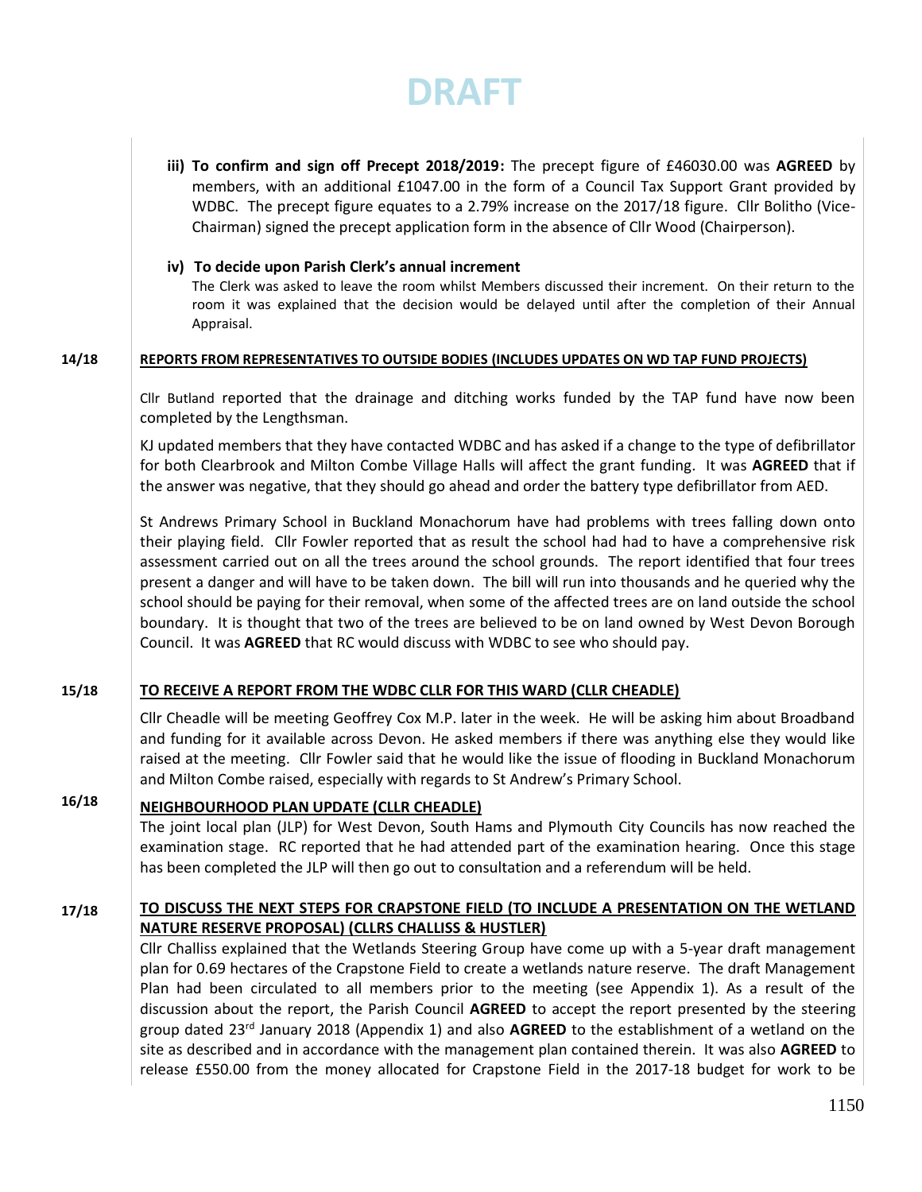**iii) To confirm and sign off Precept 2018/2019:** The precept figure of £46030.00 was **AGREED** by members, with an additional £1047.00 in the form of a Council Tax Support Grant provided by WDBC. The precept figure equates to a 2.79% increase on the 2017/18 figure. Cllr Bolitho (Vice-Chairman) signed the precept application form in the absence of Cllr Wood (Chairperson).

## **iv) To decide upon Parish Clerk's annual increment**

The Clerk was asked to leave the room whilst Members discussed their increment. On their return to the room it was explained that the decision would be delayed until after the completion of their Annual Appraisal.

#### **14/18 REPORTS FROM REPRESENTATIVES TO OUTSIDE BODIES (INCLUDES UPDATES ON WD TAP FUND PROJECTS)**

Cllr Butland reported that the drainage and ditching works funded by the TAP fund have now been completed by the Lengthsman.

KJ updated members that they have contacted WDBC and has asked if a change to the type of defibrillator for both Clearbrook and Milton Combe Village Halls will affect the grant funding. It was **AGREED** that if the answer was negative, that they should go ahead and order the battery type defibrillator from AED.

St Andrews Primary School in Buckland Monachorum have had problems with trees falling down onto their playing field. Cllr Fowler reported that as result the school had had to have a comprehensive risk assessment carried out on all the trees around the school grounds. The report identified that four trees present a danger and will have to be taken down. The bill will run into thousands and he queried why the school should be paying for their removal, when some of the affected trees are on land outside the school boundary. It is thought that two of the trees are believed to be on land owned by West Devon Borough Council. It was **AGREED** that RC would discuss with WDBC to see who should pay.

#### **15/18 TO RECEIVE A REPORT FROM THE WDBC CLLR FOR THIS WARD (CLLR CHEADLE)**

Cllr Cheadle will be meeting Geoffrey Cox M.P. later in the week. He will be asking him about Broadband and funding for it available across Devon. He asked members if there was anything else they would like raised at the meeting. Cllr Fowler said that he would like the issue of flooding in Buckland Monachorum and Milton Combe raised, especially with regards to St Andrew's Primary School.

#### **16/18 NEIGHBOURHOOD PLAN UPDATE (CLLR CHEADLE)**

The joint local plan (JLP) for West Devon, South Hams and Plymouth City Councils has now reached the examination stage. RC reported that he had attended part of the examination hearing. Once this stage has been completed the JLP will then go out to consultation and a referendum will be held.

#### **17/18 TO DISCUSS THE NEXT STEPS FOR CRAPSTONE FIELD (TO INCLUDE A PRESENTATION ON THE WETLAND NATURE RESERVE PROPOSAL) (CLLRS CHALLISS & HUSTLER)**

Cllr Challiss explained that the Wetlands Steering Group have come up with a 5-year draft management plan for 0.69 hectares of the Crapstone Field to create a wetlands nature reserve. The draft Management Plan had been circulated to all members prior to the meeting (see Appendix 1). As a result of the discussion about the report, the Parish Council **AGREED** to accept the report presented by the steering group dated 23rd January 2018 (Appendix 1) and also **AGREED** to the establishment of a wetland on the site as described and in accordance with the management plan contained therein. It was also **AGREED** to release £550.00 from the money allocated for Crapstone Field in the 2017-18 budget for work to be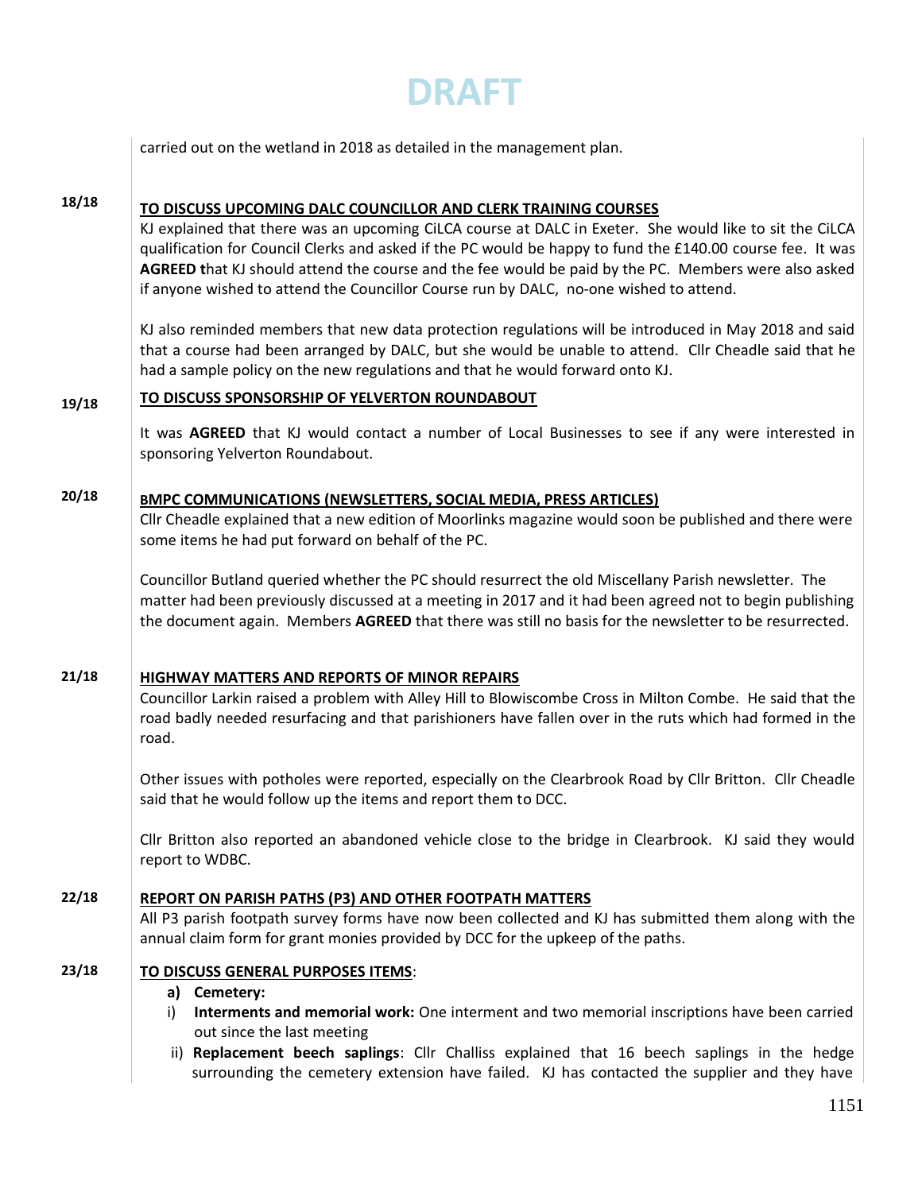|       | carried out on the wetland in 2018 as detailed in the management plan.                                                                                                                                                                                                                                                                                                                                                                                                                    |
|-------|-------------------------------------------------------------------------------------------------------------------------------------------------------------------------------------------------------------------------------------------------------------------------------------------------------------------------------------------------------------------------------------------------------------------------------------------------------------------------------------------|
|       |                                                                                                                                                                                                                                                                                                                                                                                                                                                                                           |
| 18/18 | TO DISCUSS UPCOMING DALC COUNCILLOR AND CLERK TRAINING COURSES<br>KJ explained that there was an upcoming CiLCA course at DALC in Exeter. She would like to sit the CiLCA<br>qualification for Council Clerks and asked if the PC would be happy to fund the £140.00 course fee. It was<br>AGREED that KJ should attend the course and the fee would be paid by the PC. Members were also asked<br>if anyone wished to attend the Councillor Course run by DALC, no-one wished to attend. |
|       | KJ also reminded members that new data protection regulations will be introduced in May 2018 and said<br>that a course had been arranged by DALC, but she would be unable to attend. Cllr Cheadle said that he<br>had a sample policy on the new regulations and that he would forward onto KJ.                                                                                                                                                                                           |
| 19/18 | TO DISCUSS SPONSORSHIP OF YELVERTON ROUNDABOUT                                                                                                                                                                                                                                                                                                                                                                                                                                            |
|       | It was AGREED that KJ would contact a number of Local Businesses to see if any were interested in<br>sponsoring Yelverton Roundabout.                                                                                                                                                                                                                                                                                                                                                     |
| 20/18 | BMPC COMMUNICATIONS (NEWSLETTERS, SOCIAL MEDIA, PRESS ARTICLES)<br>Cllr Cheadle explained that a new edition of Moorlinks magazine would soon be published and there were<br>some items he had put forward on behalf of the PC.                                                                                                                                                                                                                                                           |
|       | Councillor Butland queried whether the PC should resurrect the old Miscellany Parish newsletter. The<br>matter had been previously discussed at a meeting in 2017 and it had been agreed not to begin publishing<br>the document again. Members AGREED that there was still no basis for the newsletter to be resurrected.                                                                                                                                                                |
| 21/18 | HIGHWAY MATTERS AND REPORTS OF MINOR REPAIRS<br>Councillor Larkin raised a problem with Alley Hill to Blowiscombe Cross in Milton Combe. He said that the<br>road badly needed resurfacing and that parishioners have fallen over in the ruts which had formed in the<br>road.                                                                                                                                                                                                            |
|       | Other issues with potholes were reported, especially on the Clearbrook Road by Cllr Britton. Cllr Cheadle<br>said that he would follow up the items and report them to DCC.                                                                                                                                                                                                                                                                                                               |
|       | Cllr Britton also reported an abandoned vehicle close to the bridge in Clearbrook. KJ said they would<br>report to WDBC.                                                                                                                                                                                                                                                                                                                                                                  |
| 22/18 | <b>REPORT ON PARISH PATHS (P3) AND OTHER FOOTPATH MATTERS</b><br>All P3 parish footpath survey forms have now been collected and KJ has submitted them along with the<br>annual claim form for grant monies provided by DCC for the upkeep of the paths.                                                                                                                                                                                                                                  |
| 23/18 | TO DISCUSS GENERAL PURPOSES ITEMS:<br>a) Cemetery:<br>Interments and memorial work: One interment and two memorial inscriptions have been carried<br>i)<br>out since the last meeting<br>ii) Replacement beech saplings: Cllr Challiss explained that 16 beech saplings in the hedge<br>surrounding the cemetery extension have failed. KJ has contacted the supplier and they have                                                                                                       |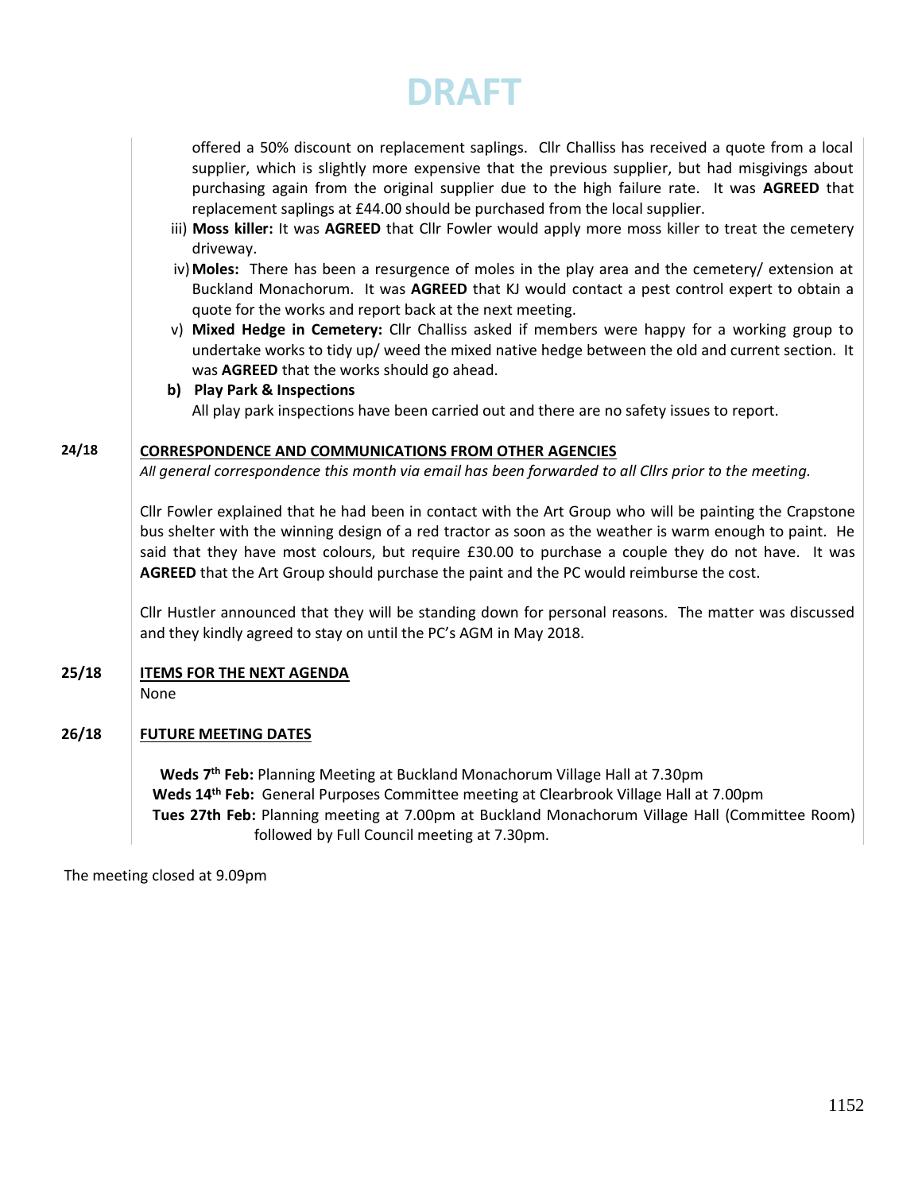offered a 50% discount on replacement saplings. Cllr Challiss has received a quote from a local supplier, which is slightly more expensive that the previous supplier, but had misgivings about purchasing again from the original supplier due to the high failure rate. It was **AGREED** that replacement saplings at £44.00 should be purchased from the local supplier.

- iii) **Moss killer:** It was **AGREED** that Cllr Fowler would apply more moss killer to treat the cemetery driveway.
- iv)**Moles:** There has been a resurgence of moles in the play area and the cemetery/ extension at Buckland Monachorum. It was **AGREED** that KJ would contact a pest control expert to obtain a quote for the works and report back at the next meeting.
- v) **Mixed Hedge in Cemetery:** Cllr Challiss asked if members were happy for a working group to undertake works to tidy up/ weed the mixed native hedge between the old and current section. It was **AGREED** that the works should go ahead.
- **b) Play Park & Inspections** All play park inspections have been carried out and there are no safety issues to report.

# **24/18 CORRESPONDENCE AND COMMUNICATIONS FROM OTHER AGENCIES**

*All general correspondence this month via email has been forwarded to all Cllrs prior to the meeting.*

Cllr Fowler explained that he had been in contact with the Art Group who will be painting the Crapstone bus shelter with the winning design of a red tractor as soon as the weather is warm enough to paint. He said that they have most colours, but require £30.00 to purchase a couple they do not have. It was **AGREED** that the Art Group should purchase the paint and the PC would reimburse the cost.

Cllr Hustler announced that they will be standing down for personal reasons. The matter was discussed and they kindly agreed to stay on until the PC's AGM in May 2018.

# **25/18 ITEMS FOR THE NEXT AGENDA**

None

# **26/18 FUTURE MEETING DATES**

 **Weds 7 th Feb:** Planning Meeting at Buckland Monachorum Village Hall at 7.30pm **Weds 14th Feb:** General Purposes Committee meeting at Clearbrook Village Hall at 7.00pm **Tues 27th Feb:** Planning meeting at 7.00pm at Buckland Monachorum Village Hall (Committee Room) followed by Full Council meeting at 7.30pm.

The meeting closed at 9.09pm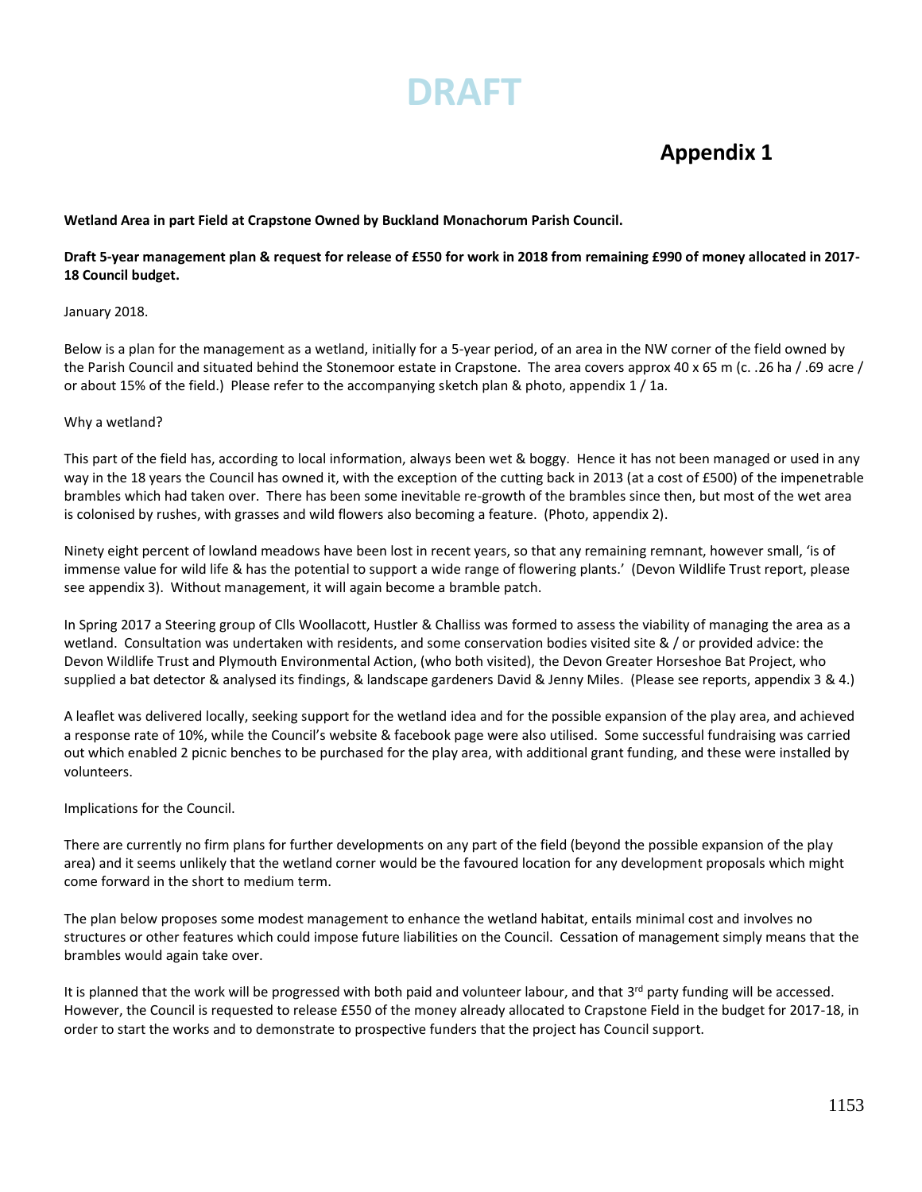# **Appendix 1**

# **Wetland Area in part Field at Crapstone Owned by Buckland Monachorum Parish Council.**

# **Draft 5-year management plan & request for release of £550 for work in 2018 from remaining £990 of money allocated in 2017- 18 Council budget.**

### January 2018.

Below is a plan for the management as a wetland, initially for a 5-year period, of an area in the NW corner of the field owned by the Parish Council and situated behind the Stonemoor estate in Crapstone. The area covers approx 40 x 65 m (c. .26 ha / .69 acre / or about 15% of the field.) Please refer to the accompanying sketch plan & photo, appendix 1 / 1a.

### Why a wetland?

This part of the field has, according to local information, always been wet & boggy. Hence it has not been managed or used in any way in the 18 years the Council has owned it, with the exception of the cutting back in 2013 (at a cost of £500) of the impenetrable brambles which had taken over. There has been some inevitable re-growth of the brambles since then, but most of the wet area is colonised by rushes, with grasses and wild flowers also becoming a feature. (Photo, appendix 2).

Ninety eight percent of lowland meadows have been lost in recent years, so that any remaining remnant, however small, 'is of immense value for wild life & has the potential to support a wide range of flowering plants.' (Devon Wildlife Trust report, please see appendix 3). Without management, it will again become a bramble patch.

In Spring 2017 a Steering group of Clls Woollacott, Hustler & Challiss was formed to assess the viability of managing the area as a wetland. Consultation was undertaken with residents, and some conservation bodies visited site & / or provided advice: the Devon Wildlife Trust and Plymouth Environmental Action, (who both visited), the Devon Greater Horseshoe Bat Project, who supplied a bat detector & analysed its findings, & landscape gardeners David & Jenny Miles. (Please see reports, appendix 3 & 4.)

A leaflet was delivered locally, seeking support for the wetland idea and for the possible expansion of the play area, and achieved a response rate of 10%, while the Council's website & facebook page were also utilised. Some successful fundraising was carried out which enabled 2 picnic benches to be purchased for the play area, with additional grant funding, and these were installed by volunteers.

### Implications for the Council.

There are currently no firm plans for further developments on any part of the field (beyond the possible expansion of the play area) and it seems unlikely that the wetland corner would be the favoured location for any development proposals which might come forward in the short to medium term.

The plan below proposes some modest management to enhance the wetland habitat, entails minimal cost and involves no structures or other features which could impose future liabilities on the Council. Cessation of management simply means that the brambles would again take over.

It is planned that the work will be progressed with both paid and volunteer labour, and that 3<sup>rd</sup> party funding will be accessed. However, the Council is requested to release £550 of the money already allocated to Crapstone Field in the budget for 2017-18, in order to start the works and to demonstrate to prospective funders that the project has Council support.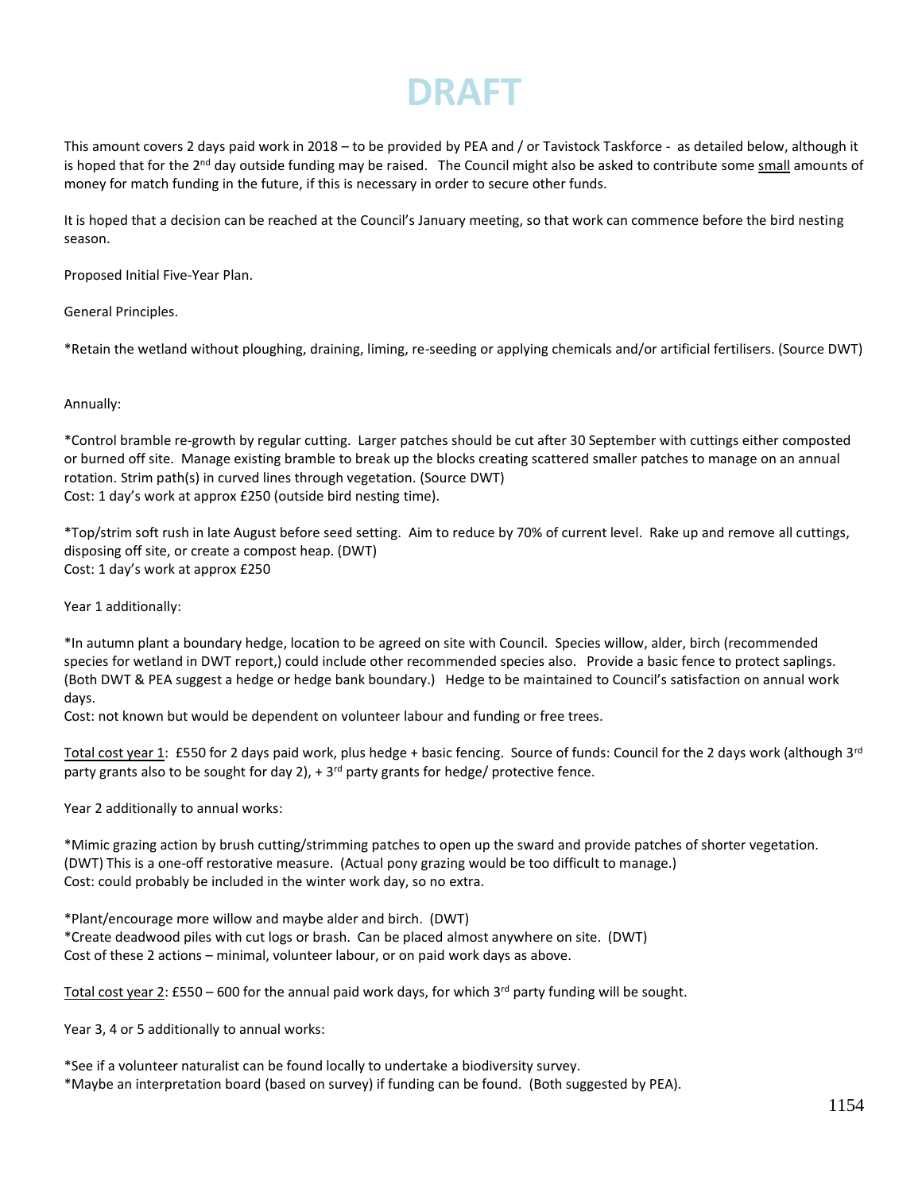This amount covers 2 days paid work in 2018 – to be provided by PEA and / or Tavistock Taskforce - as detailed below, although it is hoped that for the 2<sup>nd</sup> day outside funding may be raised. The Council might also be asked to contribute some small amounts of money for match funding in the future, if this is necessary in order to secure other funds.

It is hoped that a decision can be reached at the Council's January meeting, so that work can commence before the bird nesting season.

Proposed Initial Five-Year Plan.

General Principles.

\*Retain the wetland without ploughing, draining, liming, re-seeding or applying chemicals and/or artificial fertilisers. (Source DWT)

### Annually:

\*Control bramble re-growth by regular cutting. Larger patches should be cut after 30 September with cuttings either composted or burned off site. Manage existing bramble to break up the blocks creating scattered smaller patches to manage on an annual rotation. Strim path(s) in curved lines through vegetation. (Source DWT) Cost: 1 day's work at approx £250 (outside bird nesting time).

\*Top/strim soft rush in late August before seed setting. Aim to reduce by 70% of current level. Rake up and remove all cuttings, disposing off site, or create a compost heap. (DWT) Cost: 1 day's work at approx £250

Year 1 additionally:

\*In autumn plant a boundary hedge, location to be agreed on site with Council. Species willow, alder, birch (recommended species for wetland in DWT report,) could include other recommended species also. Provide a basic fence to protect saplings. (Both DWT & PEA suggest a hedge or hedge bank boundary.) Hedge to be maintained to Council's satisfaction on annual work days.

Cost: not known but would be dependent on volunteer labour and funding or free trees.

Total cost year 1: £550 for 2 days paid work, plus hedge + basic fencing. Source of funds: Council for the 2 days work (although 3<sup>rd</sup> party grants also to be sought for day 2),  $+3^{rd}$  party grants for hedge/ protective fence.

Year 2 additionally to annual works:

\*Mimic grazing action by brush cutting/strimming patches to open up the sward and provide patches of shorter vegetation. (DWT) This is a one-off restorative measure. (Actual pony grazing would be too difficult to manage.) Cost: could probably be included in the winter work day, so no extra.

\*Plant/encourage more willow and maybe alder and birch. (DWT)

\*Create deadwood piles with cut logs or brash. Can be placed almost anywhere on site. (DWT) Cost of these 2 actions – minimal, volunteer labour, or on paid work days as above.

Total cost year 2: £550 – 600 for the annual paid work days, for which  $3^{rd}$  party funding will be sought.

Year 3, 4 or 5 additionally to annual works:

\*See if a volunteer naturalist can be found locally to undertake a biodiversity survey. \*Maybe an interpretation board (based on survey) if funding can be found. (Both suggested by PEA).